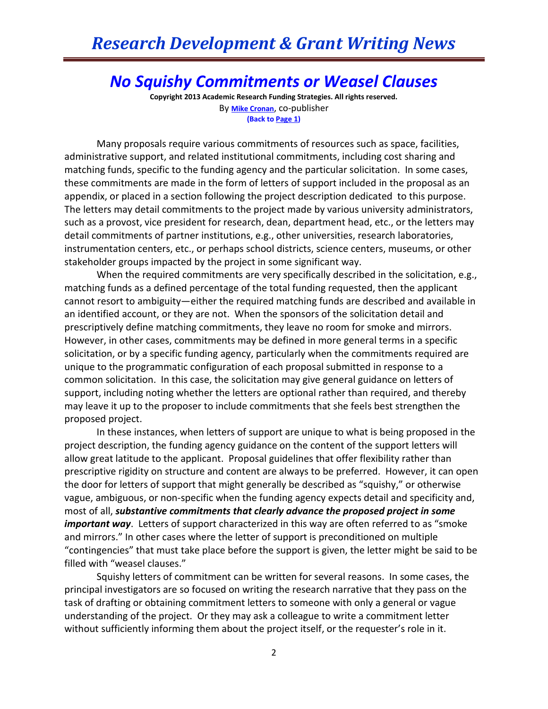## *Research Development & Grant Writing News*

## *No Squishy Commitments or Weasel Clauses*

**Copyright 2013 Academic Research Funding Strategies. All rights reserved.** By **[Mike Cronan](mailto:mjcronan@gmail.com)**, co-publisher **(Back to Page 1)**

Many proposals require various commitments of resources such as space, facilities, administrative support, and related institutional commitments, including cost sharing and matching funds, specific to the funding agency and the particular solicitation. In some cases, these commitments are made in the form of letters of support included in the proposal as an appendix, or placed in a section following the project description dedicated to this purpose. The letters may detail commitments to the project made by various university administrators, such as a provost, vice president for research, dean, department head, etc., or the letters may detail commitments of partner institutions, e.g., other universities, research laboratories, instrumentation centers, etc., or perhaps school districts, science centers, museums, or other stakeholder groups impacted by the project in some significant way.

When the required commitments are very specifically described in the solicitation, e.g., matching funds as a defined percentage of the total funding requested, then the applicant cannot resort to ambiguity—either the required matching funds are described and available in an identified account, or they are not. When the sponsors of the solicitation detail and prescriptively define matching commitments, they leave no room for smoke and mirrors. However, in other cases, commitments may be defined in more general terms in a specific solicitation, or by a specific funding agency, particularly when the commitments required are unique to the programmatic configuration of each proposal submitted in response to a common solicitation. In this case, the solicitation may give general guidance on letters of support, including noting whether the letters are optional rather than required, and thereby may leave it up to the proposer to include commitments that she feels best strengthen the proposed project.

In these instances, when letters of support are unique to what is being proposed in the project description, the funding agency guidance on the content of the support letters will allow great latitude to the applicant. Proposal guidelines that offer flexibility rather than prescriptive rigidity on structure and content are always to be preferred. However, it can open the door for letters of support that might generally be described as "squishy," or otherwise vague, ambiguous, or non-specific when the funding agency expects detail and specificity and, most of all, *substantive commitments that clearly advance the proposed project in some important way*. Letters of support characterized in this way are often referred to as "smoke and mirrors." In other cases where the letter of support is preconditioned on multiple "contingencies" that must take place before the support is given, the letter might be said to be filled with "weasel clauses."

Squishy letters of commitment can be written for several reasons. In some cases, the principal investigators are so focused on writing the research narrative that they pass on the task of drafting or obtaining commitment letters to someone with only a general or vague understanding of the project. Or they may ask a colleague to write a commitment letter without sufficiently informing them about the project itself, or the requester's role in it.